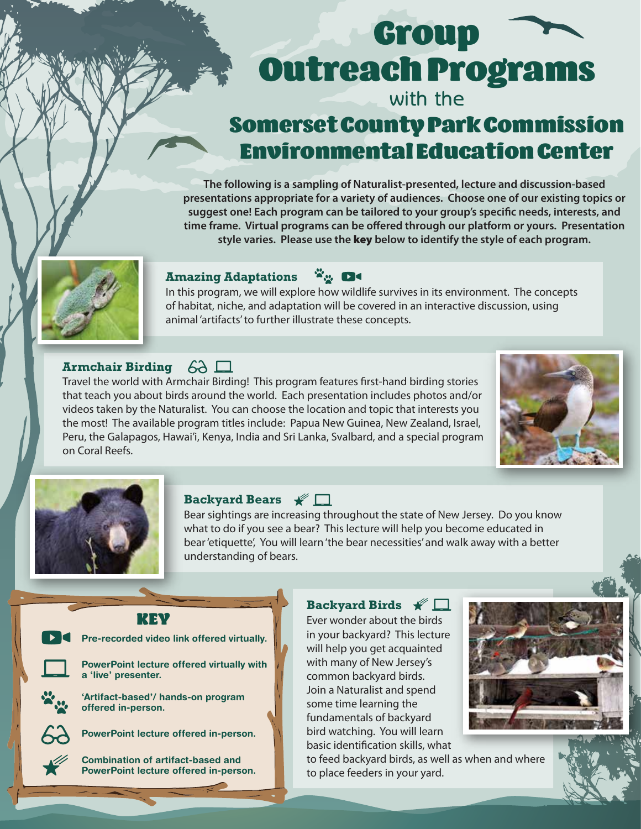# Group Outreach Programs

## with the

# Somerset County Park Commission Environmental Education Center

**The following is a sampling of Naturalist-presented, lecture and discussion-based presentations appropriate for a variety of audiences. Choose one of our existing topics or**  suggest one! Each program can be tailored to your group's specific needs, interests, and time frame. Virtual programs can be offered through our platform or yours. Presentation **style varies. Please use the** key **below to identify the style of each program.**



#### **Amazing Adaptations**

In this program, we will explore how wildlife survives in its environment. The concepts of habitat, niche, and adaptation will be covered in an interactive discussion, using animal 'artifacts' to further illustrate these concepts.

 $\mathbf{x}_n$  de

#### **Armchair Birding**

Travel the world with Armchair Birding! This program features first-hand birding stories that teach you about birds around the world. Each presentation includes photos and/or videos taken by the Naturalist. You can choose the location and topic that interests you the most! The available program titles include: Papua New Guinea, New Zealand, Israel, Peru, the Galapagos, Hawai'i, Kenya, India and Sri Lanka, Svalbard, and a special program on Coral Reefs.





#### **Backyard Bears**

Bear sightings are increasing throughout the state of New Jersey. Do you know what to do if you see a bear? This lecture will help you become educated in bear 'etiquette', You will learn 'the bear necessities' and walk away with a better understanding of bears.

#### KEY

Pre-recorded video link offered virtually.

PowerPoint lecture offered virtually with a 'live' presenter.

'Artifact-based'/ hands-on program offered in-person.

PowerPoint lecture offered in-person.

Combination of artifact-based and PowerPoint lecture offered in-person.

Ever wonder about the birds in your backyard? This lecture will help you get acquainted with many of New Jersey's common backyard birds. Join a Naturalist and spend some time learning the fundamentals of backyard

Backyard Birds  $\mathscr{K}$ 

bird watching. You will learn basic identification skills, what to feed backyard birds, as well as when and where to place feeders in your yard.

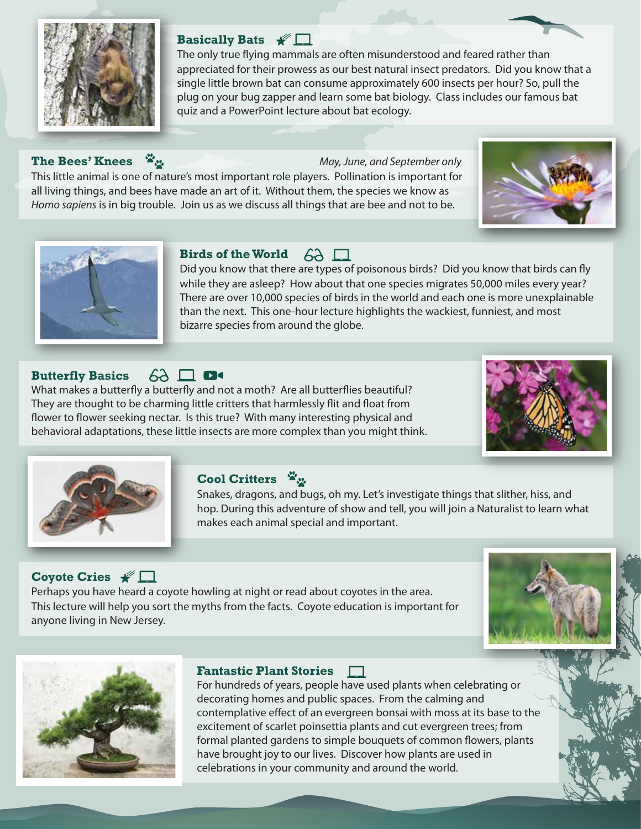

#### **Basically Bats**

The only true flying mammals are often misunderstood and feared rather than appreciated for their prowess as our best natural insect predators. Did you know that a single little brown bat can consume approximately 600 insects per hour? So, pull the plug on your bug zapper and learn some bat biology. Class includes our famous bat quiz and a PowerPoint lecture about bat ecology.

#### **The Bees' Knees** *May, June, and September only*

This little animal is one of nature's most important role players. Pollination is important for all living things, and bees have made an art of it. Without them, the species we know as *Homo sapiens* is in big trouble. Join us as we discuss all things that are bee and not to be.





### **Birds of the World**  $63 \Box$

Did you know that there are types of poisonous birds? Did you know that birds can fly while they are asleep? How about that one species migrates 50,000 miles every year? There are over 10,000 species of birds in the world and each one is more unexplainable than the next. This one-hour lecture highlights the wackiest, funniest, and most bizarre species from around the globe.

#### $6\lambda \Box$  D< **Butterfly Basics**

What makes a butterfly a butterfly and not a moth? Are all butterflies beautiful? They are thought to be charming little critters that harmlessly flit and float from flower to flower seeking nectar. Is this true? With many interesting physical and behavioral adaptations, these little insects are more complex than you might think.





#### **Cool Critters**

Snakes, dragons, and bugs, oh my. Let's investigate things that slither, hiss, and hop. During this adventure of show and tell, you will join a Naturalist to learn what makes each animal special and important.

#### **Coyote Cries**

Perhaps you have heard a coyote howling at night or read about coyotes in the area. This lecture will help you sort the myths from the facts. Coyote education is important for anyone living in New Jersey.





#### **Fantastic Plant Stories**

For hundreds of years, people have used plants when celebrating or decorating homes and public spaces. From the calming and contemplative effect of an evergreen bonsai with moss at its base to the excitement of scarlet poinsettia plants and cut evergreen trees; from formal planted gardens to simple bouquets of common flowers, plants have brought joy to our lives. Discover how plants are used in celebrations in your community and around the world.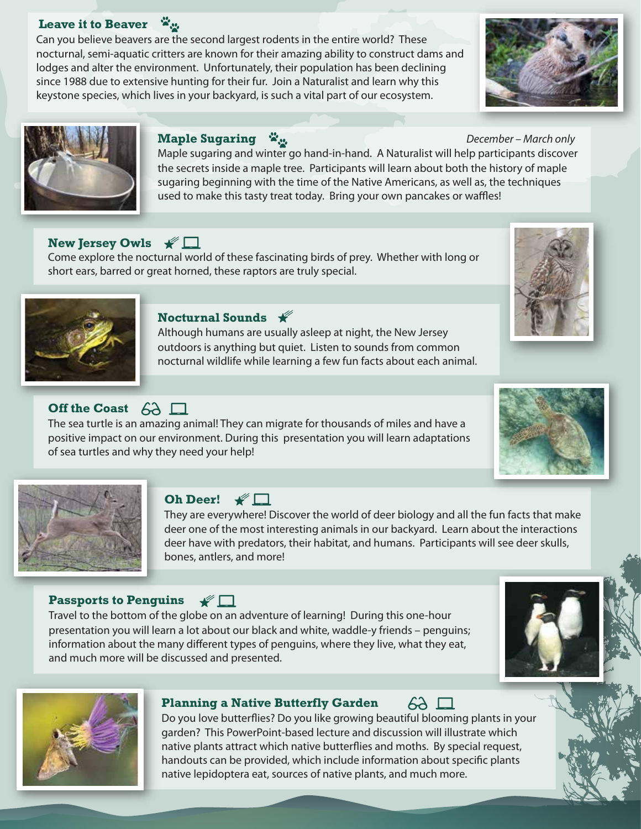#### **Leave it to Beaver**   $\mathbf{x}_n$

Can you believe beavers are the second largest rodents in the entire world? These nocturnal, semi-aquatic critters are known for their amazing ability to construct dams and lodges and alter the environment. Unfortunately, their population has been declining since 1988 due to extensive hunting for their fur. Join a Naturalist and learn why this keystone species, which lives in your backyard, is such a vital part of our ecosystem.





#### **Maple Sugaring** *December – March only*

Maple sugaring and winter go hand-in-hand. A Naturalist will help participants discover the secrets inside a maple tree. Participants will learn about both the history of maple sugaring beginning with the time of the Native Americans, as well as, the techniques used to make this tasty treat today. Bring your own pancakes or waffles!

#### **New Jersey Owls** <del>★</del> □

Come explore the nocturnal world of these fascinating birds of prey. Whether with long or short ears, barred or great horned, these raptors are truly special.



#### **Nocturnal Sounds**

Although humans are usually asleep at night, the New Jersey outdoors is anything but quiet. Listen to sounds from common nocturnal wildlife while learning a few fun facts about each animal.

#### **Off the Coast** 63

The sea turtle is an amazing animal! They can migrate for thousands of miles and have a positive impact on our environment. During this presentation you will learn adaptations of sea turtles and why they need your help!





#### Oh Deer!  $\mathscr{C}$

They are everywhere! Discover the world of deer biology and all the fun facts that make deer one of the most interesting animals in our backyard. Learn about the interactions deer have with predators, their habitat, and humans. Participants will see deer skulls, bones, antlers, and more!

#### **Passports to Penguins**  $\mathscr{C}$

Travel to the bottom of the globe on an adventure of learning! During this one-hour presentation you will learn a lot about our black and white, waddle-y friends – penguins; information about the many different types of penguins, where they live, what they eat, and much more will be discussed and presented.





#### **Planning a Native Butterfly Garden**

Do you love butterflies? Do you like growing beautiful blooming plants in your garden? This PowerPoint-based lecture and discussion will illustrate which native plants attract which native butterflies and moths. By special request, handouts can be provided, which include information about specific plants native lepidoptera eat, sources of native plants, and much more.

 $6\lambda \square$